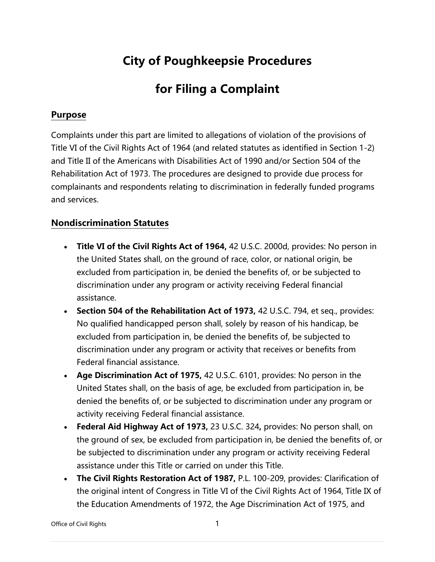# **City of Poughkeepsie Procedures**

## **for Filing a Complaint**

## **Purpose**

Complaints under this part are limited to allegations of violation of the provisions of Title VI of the Civil Rights Act of 1964 (and related statutes as identified in Section 1-2) and Title II of the Americans with Disabilities Act of 1990 and/or Section 504 of the Rehabilitation Act of 1973. The procedures are designed to provide due process for complainants and respondents relating to discrimination in federally funded programs and services.

## **Nondiscrimination Statutes**

- **Title VI of the Civil Rights Act of 1964,** 42 U.S.C. 2000d, provides: No person in the United States shall, on the ground of race, color, or national origin, be excluded from participation in, be denied the benefits of, or be subjected to discrimination under any program or activity receiving Federal financial assistance.
- **Section 504 of the Rehabilitation Act of 1973,** 42 U.S.C. 794, et seq., provides: No qualified handicapped person shall, solely by reason of his handicap, be excluded from participation in, be denied the benefits of, be subjected to discrimination under any program or activity that receives or benefits from Federal financial assistance.
- **Age Discrimination Act of 1975,** 42 U.S.C. 6101, provides: No person in the United States shall, on the basis of age, be excluded from participation in, be denied the benefits of, or be subjected to discrimination under any program or activity receiving Federal financial assistance.
- **Federal Aid Highway Act of 1973,** 23 U.S.C. 324**,** provides: No person shall, on the ground of sex, be excluded from participation in, be denied the benefits of, or be subjected to discrimination under any program or activity receiving Federal assistance under this Title or carried on under this Title.
- **The Civil Rights Restoration Act of 1987,** P.L. 100-209, provides: Clarification of the original intent of Congress in Title VI of the Civil Rights Act of 1964, Title IX of the Education Amendments of 1972, the Age Discrimination Act of 1975, and

Office of Civil Rights 1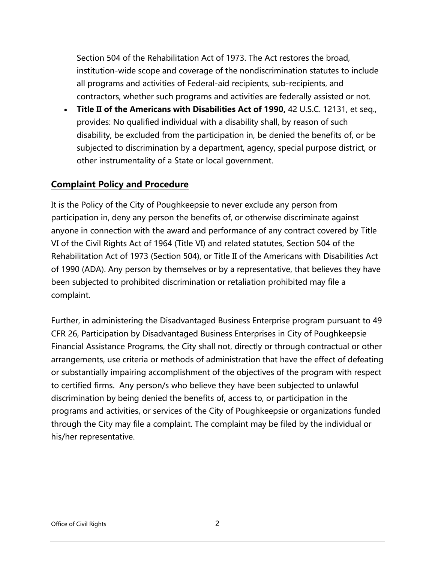Section 504 of the Rehabilitation Act of 1973. The Act restores the broad, institution-wide scope and coverage of the nondiscrimination statutes to include all programs and activities of Federal-aid recipients, sub-recipients, and contractors, whether such programs and activities are federally assisted or not.

 **Title II of the Americans with Disabilities Act of 1990,** 42 U.S.C. 12131, et seq., provides: No qualified individual with a disability shall, by reason of such disability, be excluded from the participation in, be denied the benefits of, or be subjected to discrimination by a department, agency, special purpose district, or other instrumentality of a State or local government.

## **Complaint Policy and Procedure**

It is the Policy of the City of Poughkeepsie to never exclude any person from participation in, deny any person the benefits of, or otherwise discriminate against anyone in connection with the award and performance of any contract covered by Title VI of the Civil Rights Act of 1964 (Title VI) and related statutes, Section 504 of the Rehabilitation Act of 1973 (Section 504), or Title II of the Americans with Disabilities Act of 1990 (ADA). Any person by themselves or by a representative, that believes they have been subjected to prohibited discrimination or retaliation prohibited may file a complaint.

Further, in administering the Disadvantaged Business Enterprise program pursuant to 49 CFR 26, Participation by Disadvantaged Business Enterprises in City of Poughkeepsie Financial Assistance Programs, the City shall not, directly or through contractual or other arrangements, use criteria or methods of administration that have the effect of defeating or substantially impairing accomplishment of the objectives of the program with respect to certified firms. Any person/s who believe they have been subjected to unlawful discrimination by being denied the benefits of, access to, or participation in the programs and activities, or services of the City of Poughkeepsie or organizations funded through the City may file a complaint. The complaint may be filed by the individual or his/her representative.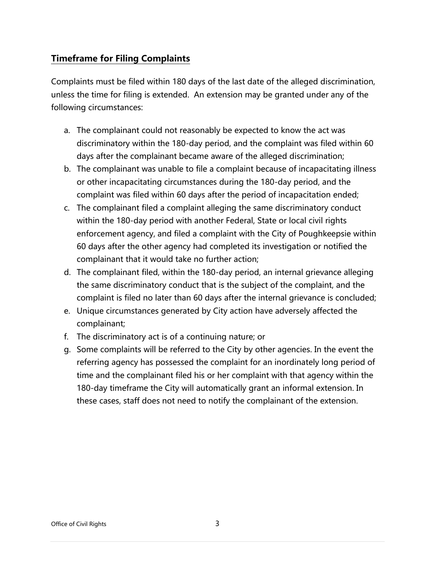## **Timeframe for Filing Complaints**

Complaints must be filed within 180 days of the last date of the alleged discrimination, unless the time for filing is extended. An extension may be granted under any of the following circumstances:

- a. The complainant could not reasonably be expected to know the act was discriminatory within the 180-day period, and the complaint was filed within 60 days after the complainant became aware of the alleged discrimination;
- b. The complainant was unable to file a complaint because of incapacitating illness or other incapacitating circumstances during the 180-day period, and the complaint was filed within 60 days after the period of incapacitation ended;
- c. The complainant filed a complaint alleging the same discriminatory conduct within the 180-day period with another Federal, State or local civil rights enforcement agency, and filed a complaint with the City of Poughkeepsie within 60 days after the other agency had completed its investigation or notified the complainant that it would take no further action;
- d. The complainant filed, within the 180-day period, an internal grievance alleging the same discriminatory conduct that is the subject of the complaint, and the complaint is filed no later than 60 days after the internal grievance is concluded;
- e. Unique circumstances generated by City action have adversely affected the complainant;
- f. The discriminatory act is of a continuing nature; or
- g. Some complaints will be referred to the City by other agencies. In the event the referring agency has possessed the complaint for an inordinately long period of time and the complainant filed his or her complaint with that agency within the 180-day timeframe the City will automatically grant an informal extension. In these cases, staff does not need to notify the complainant of the extension.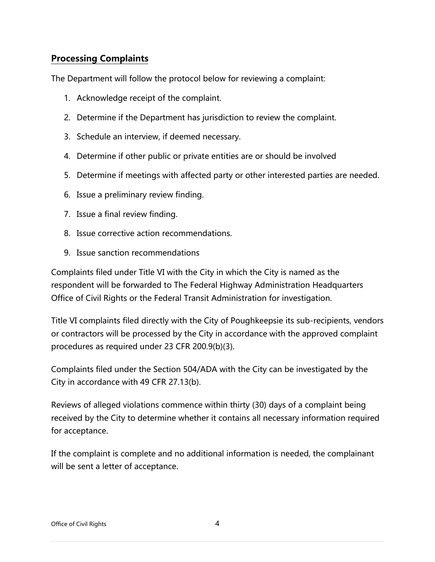## **Processing Complaints**

The Department will follow the protocol below for reviewing a complaint:

- 1. Acknowledge receipt of the complaint.
- 2. Determine if the Department has jurisdiction to review the complaint.
- 3. Schedule an interview, if deemed necessary.
- 4. Determine if other public or private entities are or should be involved
- 5. Determine if meetings with affected party or other interested parties are needed.
- 6. Issue a preliminary review finding.
- 7. Issue a final review finding.
- 8. Issue corrective action recommendations.
- 9. Issue sanction recommendations

Complaints filed under Title VI with the City in which the City is named as the respondent will be forwarded to The Federal Highway Administration Headquarters Office of Civil Rights or the Federal Transit Administration for investigation.

Title VI complaints filed directly with the City of Poughkeepsie its sub-recipients, vendors or contractors will be processed by the City in accordance with the approved complaint procedures as required under 23 CFR 200.9(b)(3).

Complaints filed under the Section 504/ADA with the City can be investigated by the City in accordance with 49 CFR 27.13(b).

Reviews of alleged violations commence within thirty (30) days of a complaint being received by the City to determine whether it contains all necessary information required for acceptance.

If the complaint is complete and no additional information is needed, the complainant will be sent a letter of acceptance.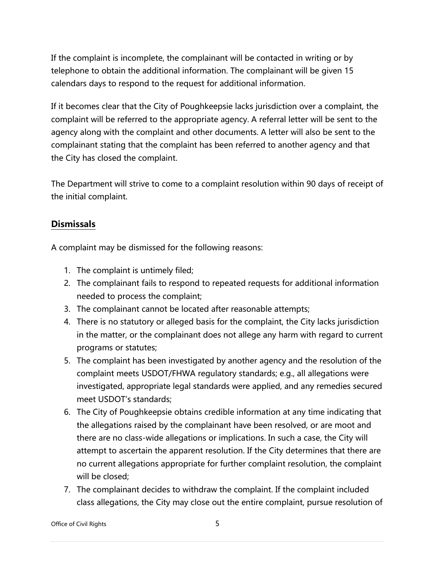If the complaint is incomplete, the complainant will be contacted in writing or by telephone to obtain the additional information. The complainant will be given 15 calendars days to respond to the request for additional information.

If it becomes clear that the City of Poughkeepsie lacks jurisdiction over a complaint, the complaint will be referred to the appropriate agency. A referral letter will be sent to the agency along with the complaint and other documents. A letter will also be sent to the complainant stating that the complaint has been referred to another agency and that the City has closed the complaint.

The Department will strive to come to a complaint resolution within 90 days of receipt of the initial complaint.

## **Dismissals**

A complaint may be dismissed for the following reasons:

- 1. The complaint is untimely filed;
- 2. The complainant fails to respond to repeated requests for additional information needed to process the complaint;
- 3. The complainant cannot be located after reasonable attempts;
- 4. There is no statutory or alleged basis for the complaint, the City lacks jurisdiction in the matter, or the complainant does not allege any harm with regard to current programs or statutes;
- 5. The complaint has been investigated by another agency and the resolution of the complaint meets USDOT/FHWA regulatory standards; e.g., all allegations were investigated, appropriate legal standards were applied, and any remedies secured meet USDOT's standards;
- 6. The City of Poughkeepsie obtains credible information at any time indicating that the allegations raised by the complainant have been resolved, or are moot and there are no class-wide allegations or implications. In such a case, the City will attempt to ascertain the apparent resolution. If the City determines that there are no current allegations appropriate for further complaint resolution, the complaint will be closed;
- 7. The complainant decides to withdraw the complaint. If the complaint included class allegations, the City may close out the entire complaint, pursue resolution of

Office of Civil Rights 5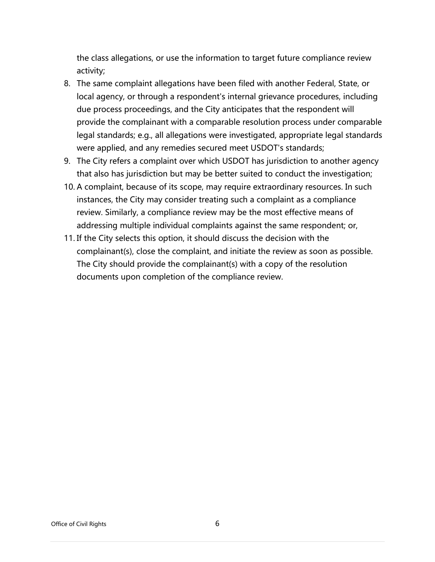the class allegations, or use the information to target future compliance review activity;

- 8. The same complaint allegations have been filed with another Federal, State, or local agency, or through a respondent's internal grievance procedures, including due process proceedings, and the City anticipates that the respondent will provide the complainant with a comparable resolution process under comparable legal standards; e.g., all allegations were investigated, appropriate legal standards were applied, and any remedies secured meet USDOT's standards;
- 9. The City refers a complaint over which USDOT has jurisdiction to another agency that also has jurisdiction but may be better suited to conduct the investigation;
- 10. A complaint, because of its scope, may require extraordinary resources. In such instances, the City may consider treating such a complaint as a compliance review. Similarly, a compliance review may be the most effective means of addressing multiple individual complaints against the same respondent; or,
- 11. If the City selects this option, it should discuss the decision with the complainant(s), close the complaint, and initiate the review as soon as possible. The City should provide the complainant(s) with a copy of the resolution documents upon completion of the compliance review.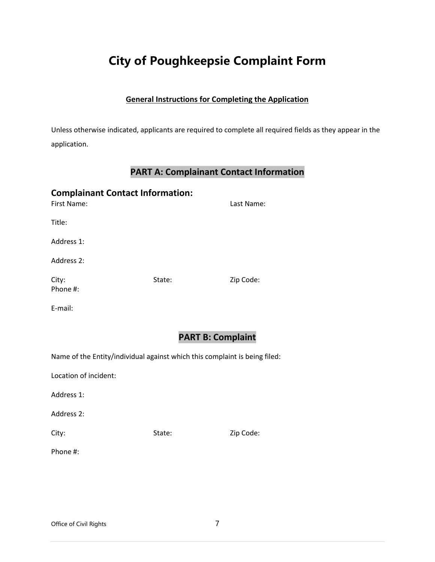## **City of Poughkeepsie Complaint Form**

#### **General Instructions for Completing the Application**

Unless otherwise indicated, applicants are required to complete all required fields as they appear in the application.

## **PART A: Complainant Contact Information**

| <b>Complainant Contact Information:</b><br><b>First Name:</b>              |                          | Last Name: |
|----------------------------------------------------------------------------|--------------------------|------------|
| Title:                                                                     |                          |            |
| Address 1:                                                                 |                          |            |
| Address 2:                                                                 |                          |            |
| City:<br>Phone #:                                                          | State:                   | Zip Code:  |
| E-mail:                                                                    |                          |            |
|                                                                            | <b>PART B: Complaint</b> |            |
| Name of the Entity/individual against which this complaint is being filed: |                          |            |
| Location of incident:                                                      |                          |            |
| Address 1:                                                                 |                          |            |
| Address 2:                                                                 |                          |            |
| City:                                                                      | State:                   | Zip Code:  |

Phone #: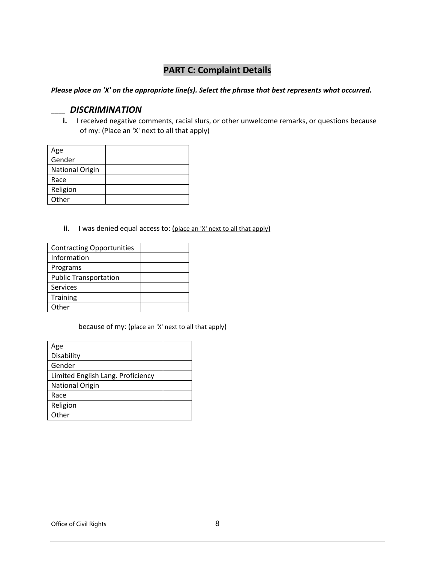## **PART C: Complaint Details**

#### *Please place an 'X' on the appropriate line(s). Select the phrase that best represents what occurred.*

#### \_\_\_\_ *DISCRIMINATION*

**i.** I received negative comments, racial slurs, or other unwelcome remarks, or questions because of my: (Place an 'X' next to all that apply)

| Age                    |  |
|------------------------|--|
| Gender                 |  |
| <b>National Origin</b> |  |
| Race                   |  |
| Religion               |  |
| Other                  |  |

ii. I was denied equal access to: (place an 'X' next to all that apply)

| <b>Contracting Opportunities</b> |  |
|----------------------------------|--|
| Information                      |  |
| Programs                         |  |
| <b>Public Transportation</b>     |  |
| Services                         |  |
| <b>Training</b>                  |  |
| Other                            |  |

because of my: (place an 'X' next to all that apply)

| Age                               |  |
|-----------------------------------|--|
| Disability                        |  |
| Gender                            |  |
| Limited English Lang. Proficiency |  |
| <b>National Origin</b>            |  |
| Race                              |  |
| Religion                          |  |
| Other                             |  |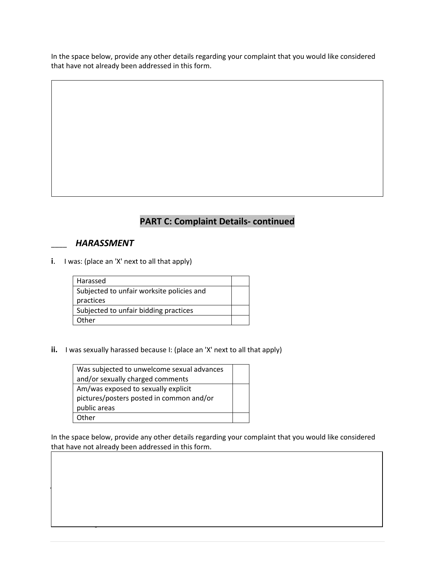In the space below, provide any other details regarding your complaint that you would like considered that have not already been addressed in this form.

## **PART C: Complaint Details- continued**

#### \_\_\_\_ *HARASSMENT*

**i**. I was: (place an 'X' next to all that apply)

| Harassed                                  |  |
|-------------------------------------------|--|
| Subjected to unfair worksite policies and |  |
| practices                                 |  |
| Subjected to unfair bidding practices     |  |
| Other                                     |  |

**ii.** I was sexually harassed because I: (place an 'X' next to all that apply)

| Was subjected to unwelcome sexual advances |  |
|--------------------------------------------|--|
| and/or sexually charged comments           |  |
| Am/was exposed to sexually explicit        |  |
| pictures/posters posted in common and/or   |  |
| public areas                               |  |
| Other                                      |  |

<u>of Civil Rights 9 and 2000 and 2000 and 2000 and 2000 and 2000 and 2000 and 2000 and 2000 and 2000 and 2000 an</u>

*\_\_\_ LANGUAGE ACCESS*

In the space below, provide any other details regarding your complaint that you would like considered that have not already been addressed in this form.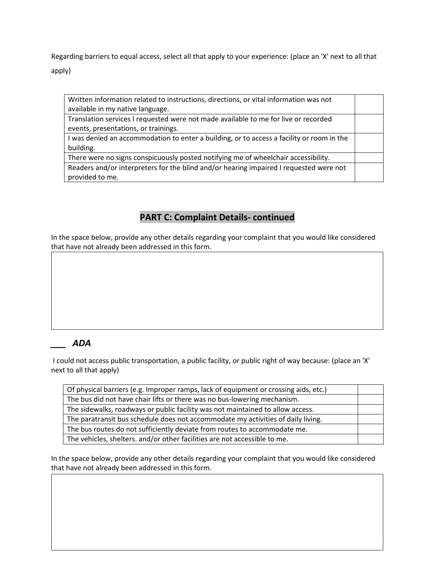Regarding barriers to equal access, select all that apply to your experience: (place an 'X' next to all that apply)

| Written information related to instructions, directions, or vital information was not<br>available in my native language. |  |
|---------------------------------------------------------------------------------------------------------------------------|--|
| Translation services I requested were not made available to me for live or recorded                                       |  |
| events, presentations, or trainings.                                                                                      |  |
| I was denied an accommodation to enter a building, or to access a facility or room in the                                 |  |
| building.                                                                                                                 |  |
| There were no signs conspicuously posted notifying me of wheelchair accessibility.                                        |  |
| Readers and/or interpreters for the blind and/or hearing impaired I requested were not                                    |  |
| provided to me.                                                                                                           |  |

## **PART C: Complaint Details- continued**

In the space below, provide any other details regarding your complaint that you would like considered that have not already been addressed in this form.

## *\_\_\_ ADA*

I could not access public transportation, a public facility, or public right of way because: (place an 'X' next to all that apply)

| Of physical barriers (e.g. Improper ramps, lack of equipment or crossing aids, etc.) |  |
|--------------------------------------------------------------------------------------|--|
| The bus did not have chair lifts or there was no bus-lowering mechanism.             |  |
| The sidewalks, roadways or public facility was not maintained to allow access.       |  |
| The paratransit bus schedule does not accommodate my activities of daily living.     |  |
| The bus routes do not sufficiently deviate from routes to accommodate me.            |  |
| The vehicles, shelters. and/or other facilities are not accessible to me.            |  |

In the space below, provide any other details regarding your complaint that you would like considered that have not already been addressed in this form.

 $\mathcal{O}(\mathcal{O}_\mathcal{A})$  and  $\mathcal{O}(\mathcal{O}_\mathcal{A})$  and  $\mathcal{O}(\mathcal{O}_\mathcal{A})$  and  $\mathcal{O}(\mathcal{O}_\mathcal{A})$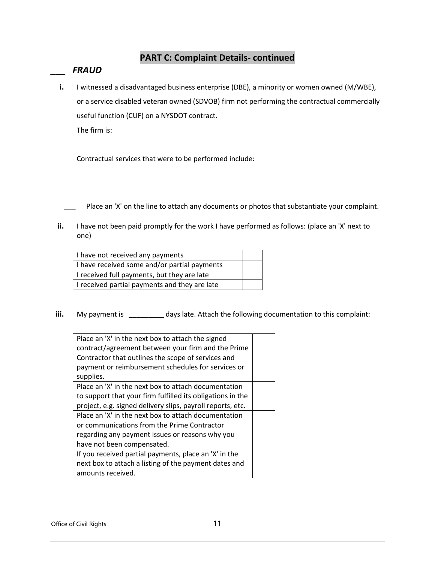### **PART C: Complaint Details- continued**

#### *\_\_\_ FRAUD*

**i.** I witnessed a disadvantaged business enterprise (DBE), a minority or women owned (M/WBE), or a service disabled veteran owned (SDVOB) firm not performing the contractual commercially useful function (CUF) on a NYSDOT contract.

The firm is:

Contractual services that were to be performed include:

Place an 'X' on the line to attach any documents or photos that substantiate your complaint.

**ii.** I have not been paid promptly for the work I have performed as follows: (place an 'X' next to one)

| I have not received any payments              |  |
|-----------------------------------------------|--|
| I have received some and/or partial payments  |  |
| I received full payments, but they are late   |  |
| I received partial payments and they are late |  |

**iii.** My payment is **\_\_\_\_\_\_\_\_\_** days late. Attach the following documentation to this complaint:

| Place an 'X' in the next box to attach the signed          |  |
|------------------------------------------------------------|--|
| contract/agreement between your firm and the Prime         |  |
| Contractor that outlines the scope of services and         |  |
| payment or reimbursement schedules for services or         |  |
| supplies.                                                  |  |
| Place an 'X' in the next box to attach documentation       |  |
| to support that your firm fulfilled its obligations in the |  |
| project, e.g. signed delivery slips, payroll reports, etc. |  |
| Place an 'X' in the next box to attach documentation       |  |
| or communications from the Prime Contractor                |  |
| regarding any payment issues or reasons why you            |  |
| have not been compensated.                                 |  |
| If you received partial payments, place an 'X' in the      |  |
| next box to attach a listing of the payment dates and      |  |
| amounts received.                                          |  |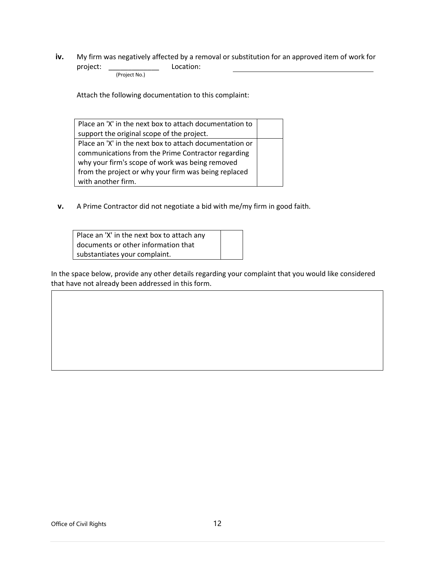**iv.** My firm was negatively affected by a removal or substitution for an approved item of work for project: \_\_\_\_\_\_\_\_\_\_\_\_\_\_ Location:

(Project No.)

Attach the following documentation to this complaint:

| Place an 'X' in the next box to attach documentation to |  |
|---------------------------------------------------------|--|
| support the original scope of the project.              |  |
| Place an 'X' in the next box to attach documentation or |  |
| communications from the Prime Contractor regarding      |  |
| why your firm's scope of work was being removed         |  |
| from the project or why your firm was being replaced    |  |
| with another firm.                                      |  |

**v.** A Prime Contractor did not negotiate a bid with me/my firm in good faith.

| Place an 'X' in the next box to attach any |  |
|--------------------------------------------|--|
| documents or other information that        |  |
| substantiates your complaint.              |  |

In the space below, provide any other details regarding your complaint that you would like considered that have not already been addressed in this form.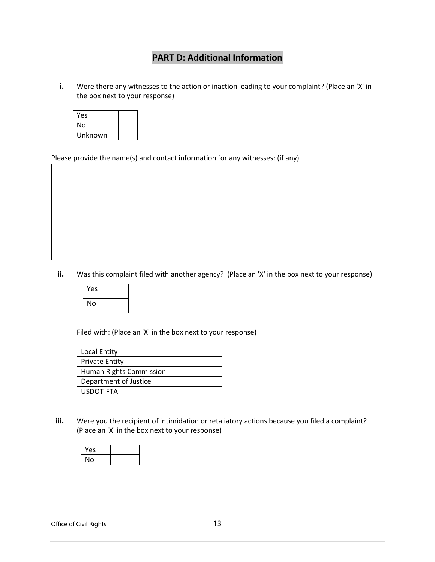### **PART D: Additional Information**

**i.** Were there any witnesses to the action or inaction leading to your complaint? (Place an 'X' in the box next to your response)

| Yes     |  |
|---------|--|
| No      |  |
| Unknown |  |

Please provide the name(s) and contact information for any witnesses: (if any)

ii. Was this complaint filed with another agency? (Place an 'X' in the box next to your response)

| Yes |  |
|-----|--|
| No  |  |

Filed with: (Place an 'X' in the box next to your response)

| <b>Local Entity</b>     |  |
|-------------------------|--|
| <b>Private Entity</b>   |  |
| Human Rights Commission |  |
| Department of Justice   |  |
| USDOT-FTA               |  |

**iii.** Were you the recipient of intimidation or retaliatory actions because you filed a complaint? (Place an 'X' in the box next to your response)

| Yes |  |
|-----|--|
| No  |  |